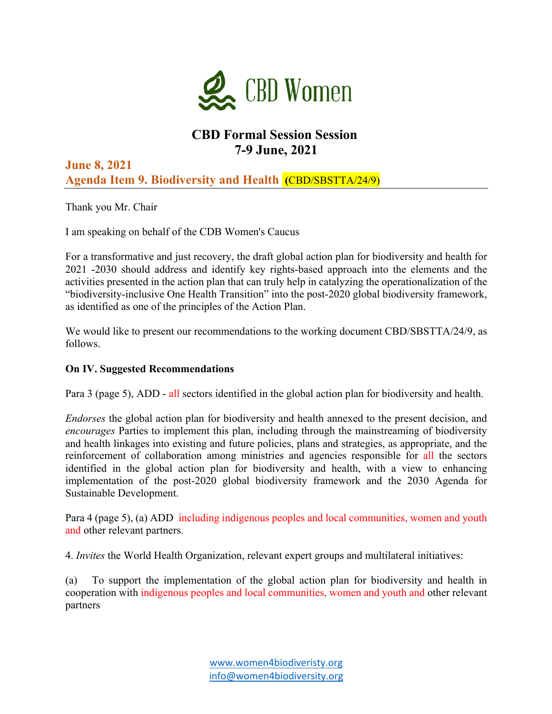

# **CBD Formal Session Session 7-9 June, 2021**

**June 8, 2021 Agenda Item 9. Biodiversity and Health (**CBD/SBSTTA/24/9)

Thank you Mr. Chair

I am speaking on behalf of the CDB Women's Caucus

For a transformative and just recovery, the draft global action plan for biodiversity and health for 2021 -2030 should address and identify key rights-based approach into the elements and the activities presented in the action plan that can truly help in catalyzing the operationalization of the "biodiversity-inclusive One Health Transition" into the post-2020 global biodiversity framework, as identified as one of the principles of the Action Plan.

We would like to present our recommendations to the working document CBD/SBSTTA/24/9, as follows.

## **On IV. Suggested Recommendations**

Para 3 (page 5), ADD - all sectors identified in the global action plan for biodiversity and health.

*Endorses* the global action plan for biodiversity and health annexed to the present decision, and *encourages* Parties to implement this plan, including through the mainstreaming of biodiversity and health linkages into existing and future policies, plans and strategies, as appropriate, and the reinforcement of collaboration among ministries and agencies responsible for all the sectors identified in the global action plan for biodiversity and health, with a view to enhancing implementation of the post-2020 global biodiversity framework and the 2030 Agenda for Sustainable Development.

Para 4 (page 5), (a) ADD including indigenous peoples and local communities, women and youth and other relevant partners.

4. *Invites* the World Health Organization, relevant expert groups and multilateral initiatives:

(a) To support the implementation of the global action plan for biodiversity and health in cooperation with indigenous peoples and local communities, women and youth and other relevant partners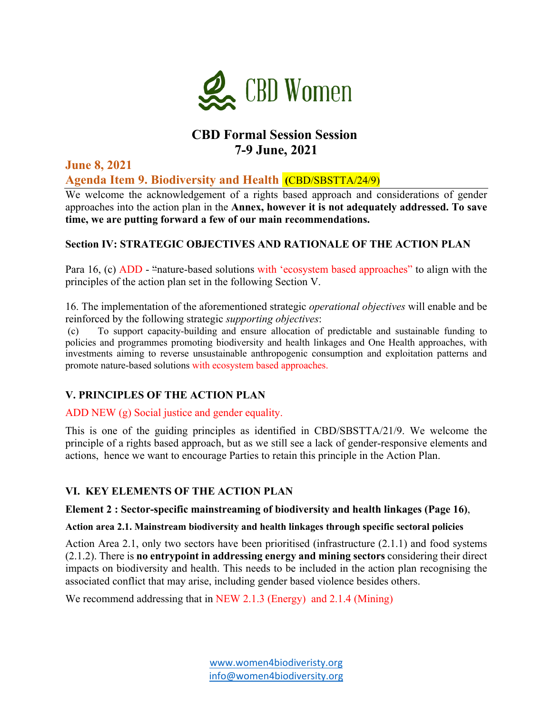

# **CBD Formal Session Session 7-9 June, 2021**

**June 8, 2021 Agenda Item 9. Biodiversity and Health (**CBD/SBSTTA/24/9)

We welcome the acknowledgement of a rights based approach and considerations of gender approaches into the action plan in the **Annex, however it is not adequately addressed. To save time, we are putting forward a few of our main recommendations.**

### **Section IV: STRATEGIC OBJECTIVES AND RATIONALE OF THE ACTION PLAN**

Para 16, (c) ADD - "nature-based solutions with 'ecosystem based approaches" to align with the principles of the action plan set in the following Section V.

16. The implementation of the aforementioned strategic *operational objectives* will enable and be reinforced by the following strategic *supporting objectives*:

To support capacity-building and ensure allocation of predictable and sustainable funding to policies and programmes promoting biodiversity and health linkages and One Health approaches, with investments aiming to reverse unsustainable anthropogenic consumption and exploitation patterns and promote nature-based solutions with ecosystem based approaches.

### **V. PRINCIPLES OF THE ACTION PLAN**

ADD NEW (g) Social justice and gender equality.

This is one of the guiding principles as identified in CBD/SBSTTA/21/9. We welcome the principle of a rights based approach, but as we still see a lack of gender-responsive elements and actions, hence we want to encourage Parties to retain this principle in the Action Plan.

### **VI. KEY ELEMENTS OF THE ACTION PLAN**

#### **Element 2 : Sector-specific mainstreaming of biodiversity and health linkages (Page 16)**,

#### **Action area 2.1. Mainstream biodiversity and health linkages through specific sectoral policies**

Action Area 2.1, only two sectors have been prioritised (infrastructure (2.1.1) and food systems (2.1.2). There is **no entrypoint in addressing energy and mining sectors** considering their direct impacts on biodiversity and health. This needs to be included in the action plan recognising the associated conflict that may arise, including gender based violence besides others.

We recommend addressing that in NEW 2.1.3 (Energy) and 2.1.4 (Mining)